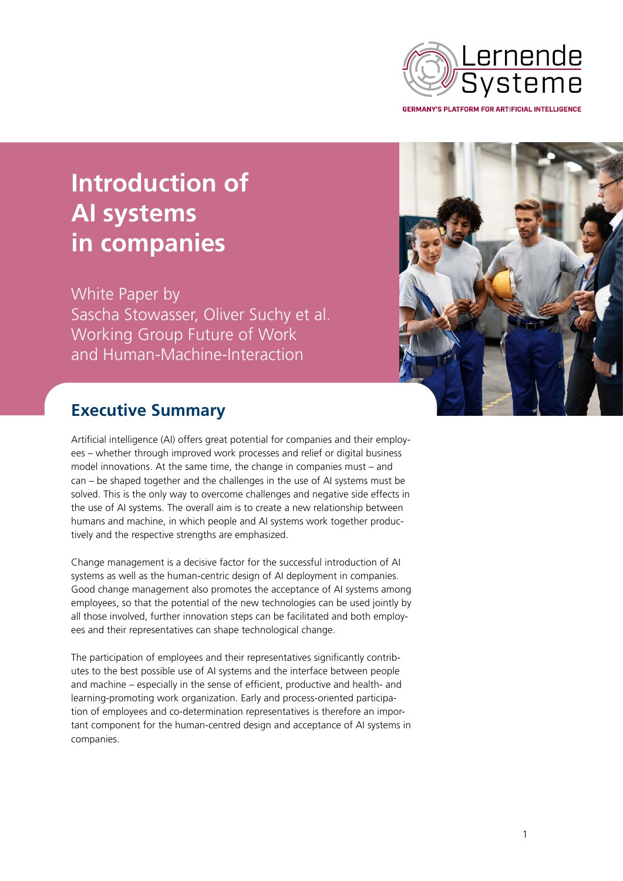

**Introduction of AI systems in companies**

White Paper by Sascha Stowasser, Oliver Suchy et al. Working Group Future of Work and Human-Machine-Interaction



## **Executive Summary**

Artificial intelligence (AI) offers great potential for companies and their employees – whether through improved work processes and relief or digital business model innovations. At the same time, the change in companies must – and can – be shaped together and the challenges in the use of AI systems must be solved. This is the only way to overcome challenges and negative side effects in the use of AI systems. The overall aim is to create a new relationship between humans and machine, in which people and AI systems work together productively and the respective strengths are emphasized.

Change management is a decisive factor for the successful introduction of AI systems as well as the human-centric design of AI deployment in companies. Good change management also promotes the acceptance of AI systems among employees, so that the potential of the new technologies can be used jointly by all those involved, further innovation steps can be facilitated and both employees and their representatives can shape technological change.

The participation of employees and their representatives significantly contributes to the best possible use of AI systems and the interface between people and machine – especially in the sense of efficient, productive and health- and learning-promoting work organization. Early and process-oriented participation of employees and co-determination representatives is therefore an important component for the human-centred design and acceptance of AI systems in companies.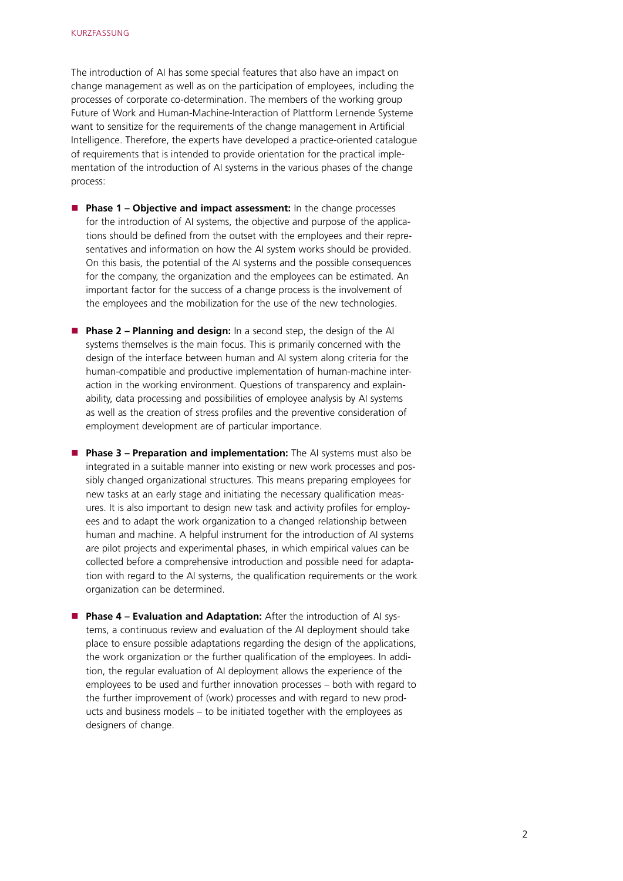The introduction of AI has some special features that also have an impact on change management as well as on the participation of employees, including the processes of corporate co-determination. The members of the working group Future of Work and Human-Machine-Interaction of Plattform Lernende Systeme want to sensitize for the requirements of the change management in Artificial Intelligence. Therefore, the experts have developed a practice-oriented catalogue of requirements that is intended to provide orientation for the practical implementation of the introduction of AI systems in the various phases of the change process:

- **Phase 1 Objective and impact assessment:** In the change processes for the introduction of AI systems, the objective and purpose of the applications should be defined from the outset with the employees and their representatives and information on how the AI system works should be provided. On this basis, the potential of the AI systems and the possible consequences for the company, the organization and the employees can be estimated. An important factor for the success of a change process is the involvement of the employees and the mobilization for the use of the new technologies.
- **Phase 2 Planning and design:** In a second step, the design of the AI systems themselves is the main focus. This is primarily concerned with the design of the interface between human and AI system along criteria for the human-compatible and productive implementation of human-machine interaction in the working environment. Questions of transparency and explainability, data processing and possibilities of employee analysis by AI systems as well as the creation of stress profiles and the preventive consideration of employment development are of particular importance.
- **Phase 3 Preparation and implementation:** The AI systems must also be integrated in a suitable manner into existing or new work processes and possibly changed organizational structures. This means preparing employees for new tasks at an early stage and initiating the necessary qualification measures. It is also important to design new task and activity profiles for employees and to adapt the work organization to a changed relationship between human and machine. A helpful instrument for the introduction of AI systems are pilot projects and experimental phases, in which empirical values can be collected before a comprehensive introduction and possible need for adaptation with regard to the AI systems, the qualification requirements or the work organization can be determined.
- **Phase 4 Evaluation and Adaptation:** After the introduction of AI systems, a continuous review and evaluation of the AI deployment should take place to ensure possible adaptations regarding the design of the applications, the work organization or the further qualification of the employees. In addition, the regular evaluation of AI deployment allows the experience of the employees to be used and further innovation processes – both with regard to the further improvement of (work) processes and with regard to new products and business models – to be initiated together with the employees as designers of change.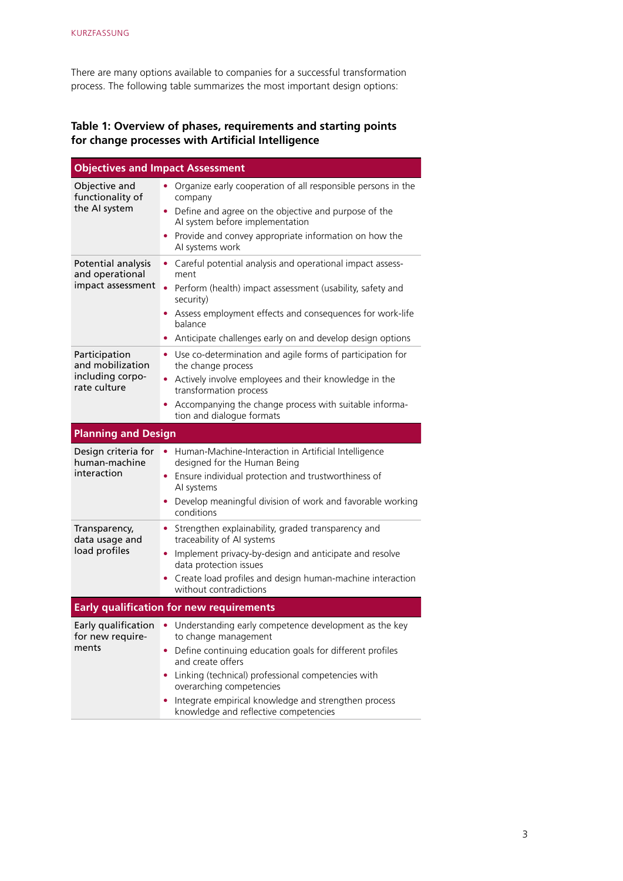There are many options available to companies for a successful transformation process. The following table summarizes the most important design options:

## **Table 1: Overview of phases, requirements and starting points for change processes with Artificial Intelligence**

| <b>Objectives and Impact Assessment</b>                               |                                                                                                                                                                                                                                                                                                                                                                         |  |
|-----------------------------------------------------------------------|-------------------------------------------------------------------------------------------------------------------------------------------------------------------------------------------------------------------------------------------------------------------------------------------------------------------------------------------------------------------------|--|
| Objective and<br>functionality of<br>the AI system                    | Organize early cooperation of all responsible persons in the<br>٠<br>company<br>Define and agree on the objective and purpose of the<br>AI system before implementation<br>Provide and convey appropriate information on how the<br>Al systems work                                                                                                                     |  |
| Potential analysis<br>and operational<br>impact assessment            | Careful potential analysis and operational impact assess-<br>$\bullet$<br>ment<br>Perform (health) impact assessment (usability, safety and<br>$\bullet$<br>security)<br>Assess employment effects and consequences for work-life<br>$\bullet$<br>balance<br>Anticipate challenges early on and develop design options<br>٠                                             |  |
| Participation<br>and mobilization<br>including corpo-<br>rate culture | Use co-determination and agile forms of participation for<br>the change process<br>Actively involve employees and their knowledge in the<br>transformation process<br>Accompanying the change process with suitable informa-<br>tion and dialogue formats                                                                                                               |  |
| <b>Planning and Design</b>                                            |                                                                                                                                                                                                                                                                                                                                                                         |  |
| Design criteria for<br>human-machine<br>interaction                   | Human-Machine-Interaction in Artificial Intelligence<br>designed for the Human Being<br>• Ensure individual protection and trustworthiness of<br>AI systems<br>Develop meaningful division of work and favorable working<br>conditions                                                                                                                                  |  |
| Transparency,<br>data usage and<br>load profiles                      | Strengthen explainability, graded transparency and<br>۰<br>traceability of AI systems<br>Implement privacy-by-design and anticipate and resolve<br>٠<br>data protection issues<br>Create load profiles and design human-machine interaction<br>without contradictions                                                                                                   |  |
| <b>Early qualification for new requirements</b>                       |                                                                                                                                                                                                                                                                                                                                                                         |  |
| for new require-<br>ments                                             | Early qualification • Understanding early competence development as the key<br>to change management<br>Define continuing education goals for different profiles<br>and create offers<br>Linking (technical) professional competencies with<br>overarching competencies<br>Integrate empirical knowledge and strengthen process<br>knowledge and reflective competencies |  |